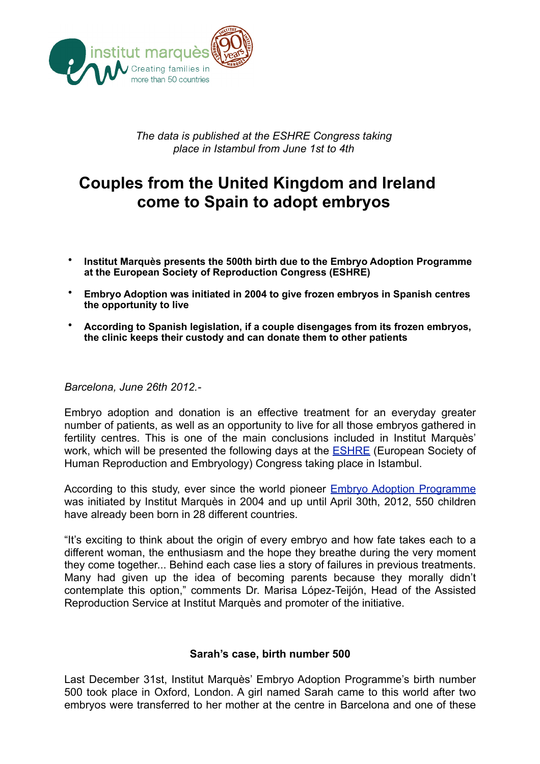

*The data is published at the ESHRE Congress taking place in Istambul from June 1st to 4th*

# **Couples from the United Kingdom and Ireland come to Spain to adopt embryos**

- **Institut Marquès presents the 500th birth due to the Embryo Adoption Programme at the European Society of Reproduction Congress (ESHRE)**
- **Embryo Adoption was initiated in 2004 to give frozen embryos in Spanish centres the opportunity to live**
- **According to Spanish legislation, if a couple disengages from its frozen embryos, the clinic keeps their custody and can donate them to other patients**

#### *Barcelona, June 26th 2012.-*

Embryo adoption and donation is an effective treatment for an everyday greater number of patients, as well as an opportunity to live for all those embryos gathered in fertility centres. This is one of the main conclusions included in Institut Marquès' work, which will be presented the following days at the **ESHRE** (European Society of Human Reproduction and Embryology) Congress taking place in Istambul.

According to this study, ever since the world pioneer [Embryo Adoption Programme](http://www.institutmarques.com/embryo-adoption.html) was initiated by Institut Marquès in 2004 and up until April 30th, 2012, 550 children have already been born in 28 different countries.

"It's exciting to think about the origin of every embryo and how fate takes each to a different woman, the enthusiasm and the hope they breathe during the very moment they come together... Behind each case lies a story of failures in previous treatments. Many had given up the idea of becoming parents because they morally didn't contemplate this option," comments Dr. Marisa López-Teijón, Head of the Assisted Reproduction Service at Institut Marquès and promoter of the initiative.

### **Sarah's case, birth number 500**

Last December 31st, Institut Marquès' Embryo Adoption Programme's birth number 500 took place in Oxford, London. A girl named Sarah came to this world after two embryos were transferred to her mother at the centre in Barcelona and one of these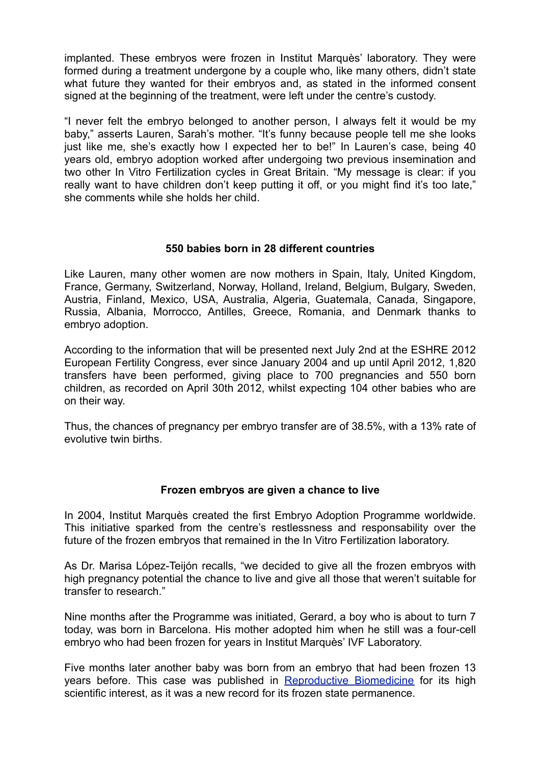implanted. These embryos were frozen in Institut Marquès' laboratory. They were formed during a treatment undergone by a couple who, like many others, didn't state what future they wanted for their embryos and, as stated in the informed consent signed at the beginning of the treatment, were left under the centre's custody.

"I never felt the embryo belonged to another person, I always felt it would be my baby," asserts Lauren, Sarah's mother. "It's funny because people tell me she looks just like me, she's exactly how I expected her to be!" In Lauren's case, being 40 years old, embryo adoption worked after undergoing two previous insemination and two other In Vitro Fertilization cycles in Great Britain. "My message is clear: if you really want to have children don't keep putting it off, or you might find it's too late," she comments while she holds her child.

# **550 babies born in 28 different countries**

Like Lauren, many other women are now mothers in Spain, Italy, United Kingdom, France, Germany, Switzerland, Norway, Holland, Ireland, Belgium, Bulgary, Sweden, Austria, Finland, Mexico, USA, Australia, Algeria, Guatemala, Canada, Singapore, Russia, Albania, Morrocco, Antilles, Greece, Romania, and Denmark thanks to embryo adoption.

According to the information that will be presented next July 2nd at the ESHRE 2012 European Fertility Congress, ever since January 2004 and up until April 2012, 1,820 transfers have been performed, giving place to 700 pregnancies and 550 born children, as recorded on April 30th 2012, whilst expecting 104 other babies who are on their way.

Thus, the chances of pregnancy per embryo transfer are of 38.5%, with a 13% rate of evolutive twin births.

### **Frozen embryos are given a chance to live**

In 2004, Institut Marquès created the first Embryo Adoption Programme worldwide. This initiative sparked from the centre's restlessness and responsability over the future of the frozen embryos that remained in the In Vitro Fertilization laboratory.

As Dr. Marisa López-Teijón recalls, "we decided to give all the frozen embryos with high pregnancy potential the chance to live and give all those that weren't suitable for transfer to research."

Nine months after the Programme was initiated, Gerard, a boy who is about to turn 7 today, was born in Barcelona. His mother adopted him when he still was a four-cell embryo who had been frozen for years in Institut Marquès' IVF Laboratory.

Five months later another baby was born from an embryo that had been frozen 13 years before. This case was published in [Reproductive Biomedicine](http://www.ncbi.nlm.nih.gov/sites/entrez?Db=pubmed&Cmd=Retrieve&list_uids=17169203&dopt=abstractplus) for its high scientific interest, as it was a new record for its frozen state permanence.